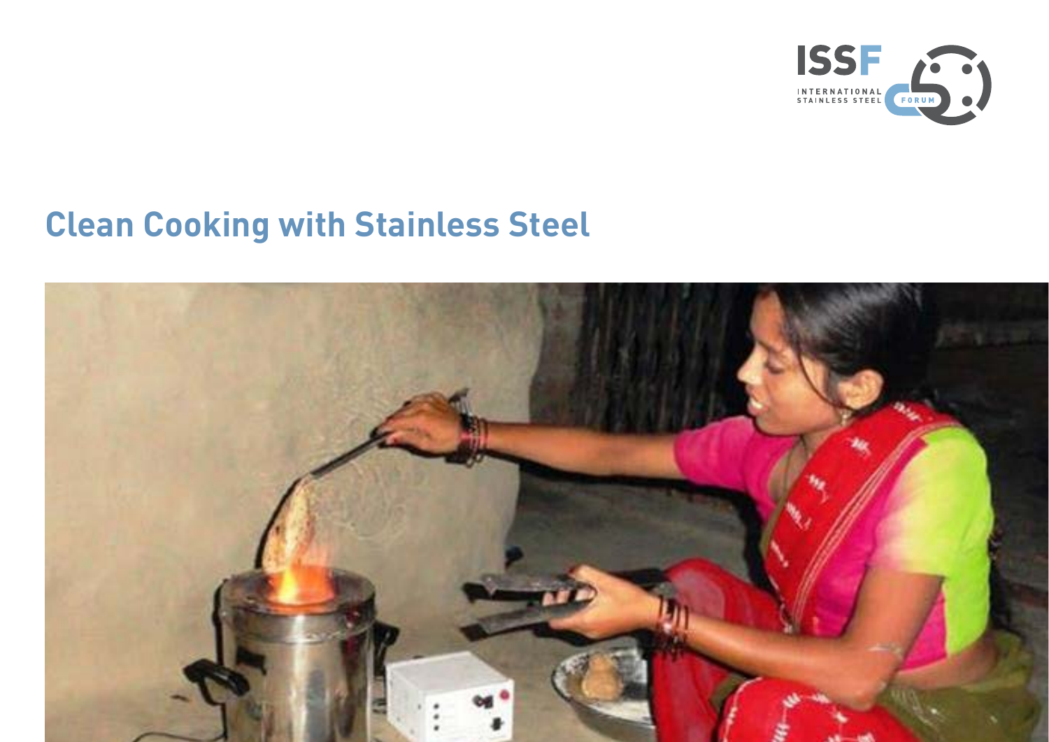

# **Clean Cooking with Stainless Steel**

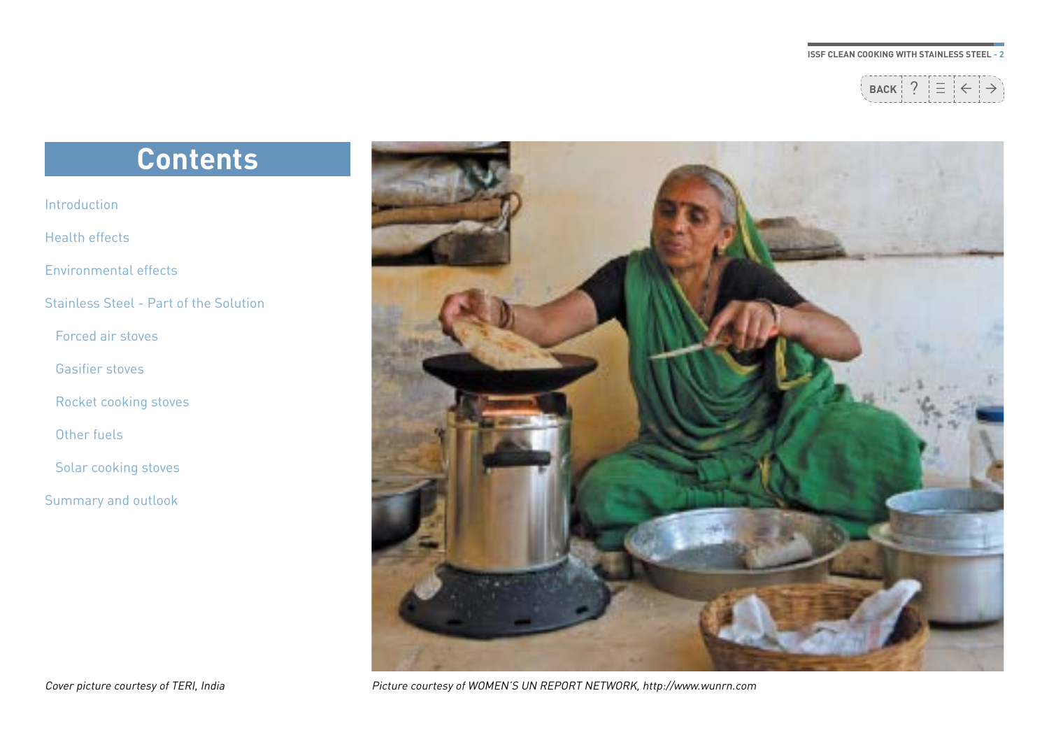

## **Contents**

[Introduction](#page-2-0) [Health effects](#page-3-0) [Environmental effects](#page-3-0) [Stainless Steel - Part of the Solution](#page-4-0) [Forced air stoves](#page-4-0) [Gasifier stoves](#page-5-0) [Rocket cooking stoves](#page-7-0) [Other fuels](#page-8-0) [Solar cooking stoves](#page-8-0)

[Summary and outlook](#page-10-0)



Cover picture courtesy of TERI, India Picture courtesy of WOMEN'S UN REPORT NETWORK, http://www.wunrn.com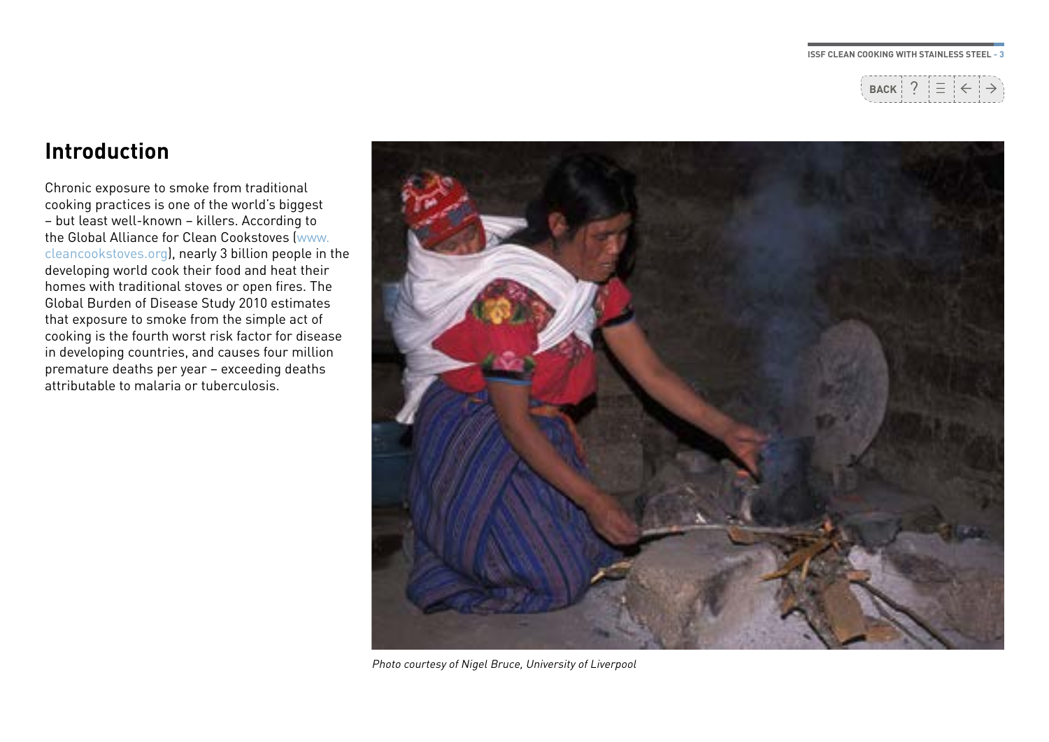

### <span id="page-2-0"></span>**Introduction**

Chronic exposure to smoke from traditional cooking practices is one of the world's biggest – but least well-known – killers. According to the Global Alliance for Clean Cookstoves [\(www.](www.cleancookstoves.org) [cleancookstoves.org\)](www.cleancookstoves.org), nearly 3 billion people in the developing world cook their food and heat their homes with traditional stoves or open fires. The Global Burden of Disease Study 2010 estimates that exposure to smoke from the simple act of cooking is the fourth worst risk factor for disease in developing countries, and causes four million premature deaths per year – exceeding deaths attributable to malaria or tuberculosis.



Photo courtesy of Nigel Bruce, University of Liverpool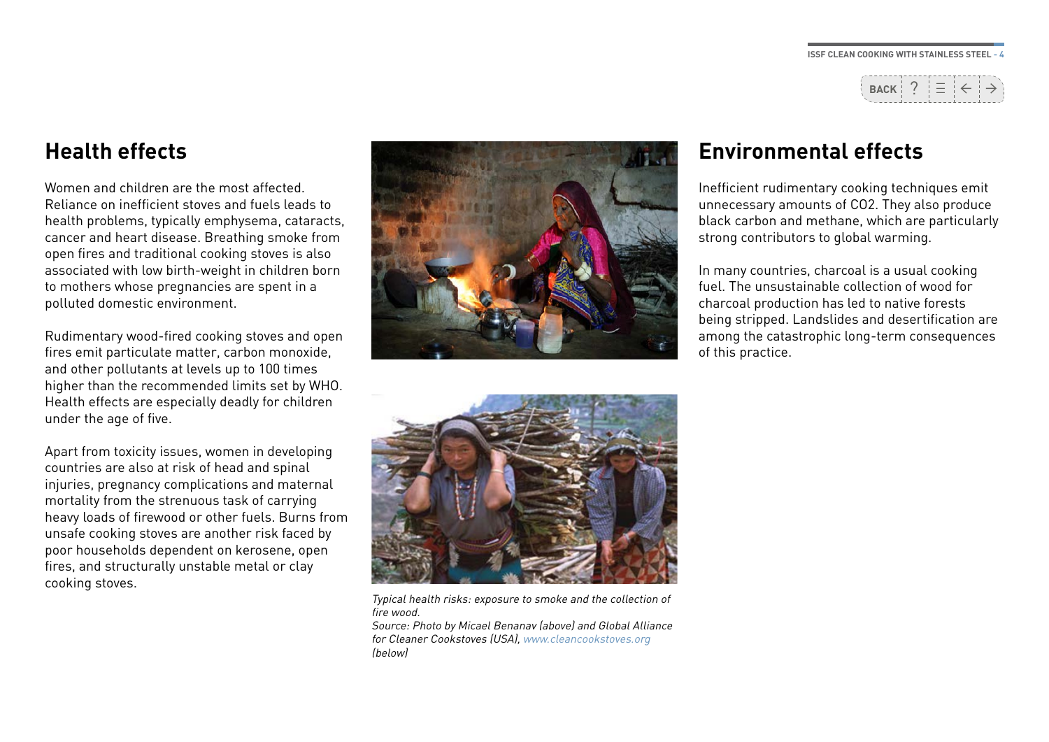

### <span id="page-3-0"></span>**Health effects**

Women and children are the most affected. Reliance on inefficient stoves and fuels leads to health problems, typically emphysema, cataracts, cancer and heart disease. Breathing smoke from open fires and traditional cooking stoves is also associated with low birth-weight in children born to mothers whose pregnancies are spent in a polluted domestic environment.

Rudimentary wood-fired cooking stoves and open fires emit particulate matter, carbon monoxide, and other pollutants at levels up to 100 times higher than the recommended limits set by WHO. Health effects are especially deadly for children under the age of five.

Apart from toxicity issues, women in developing countries are also at risk of head and spinal injuries, pregnancy complications and maternal mortality from the strenuous task of carrying heavy loads of firewood or other fuels. Burns from unsafe cooking stoves are another risk faced by poor households dependent on kerosene, open fires, and structurally unstable metal or clay cooking stoves.



### **Environmental effects**

Inefficient rudimentary cooking techniques emit unnecessary amounts of CO2. They also produce black carbon and methane, which are particularly strong contributors to global warming.

In many countries, charcoal is a usual cooking fuel. The unsustainable collection of wood for charcoal production has led to native forests being stripped. Landslides and desertification are among the catastrophic long-term consequences of this practice.



Typical health risks: exposure to smoke and the collection of fire wood.

Source: Photo by Micael Benanav (above) and Global Alliance for Cleaner Cookstoves (USA), <www.cleancookstoves.org> (below)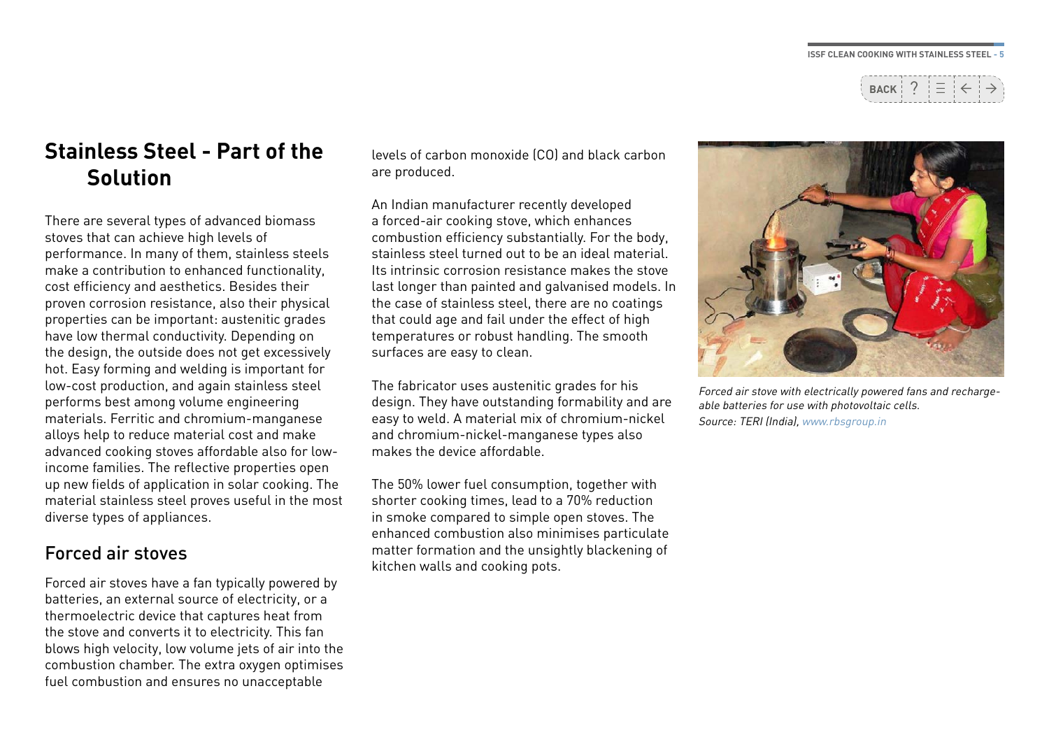

### <span id="page-4-0"></span>**Stainless Steel - Part of the Solution**

There are several types of advanced biomass stoves that can achieve high levels of performance. In many of them, stainless steels make a contribution to enhanced functionality, cost efficiency and aesthetics. Besides their proven corrosion resistance, also their physical properties can be important: austenitic grades have low thermal conductivity. Depending on the design, the outside does not get excessively hot. Easy forming and welding is important for low-cost production, and again stainless steel performs best among volume engineering materials. Ferritic and chromium-manganese alloys help to reduce material cost and make advanced cooking stoves affordable also for lowincome families. The reflective properties open up new fields of application in solar cooking. The material stainless steel proves useful in the most diverse types of appliances.

### Forced air stoves

Forced air stoves have a fan typically powered by batteries, an external source of electricity, or a thermoelectric device that captures heat from the stove and converts it to electricity. This fan blows high velocity, low volume jets of air into the combustion chamber. The extra oxygen optimises fuel combustion and ensures no unacceptable

levels of carbon monoxide (CO) and black carbon are produced.

An Indian manufacturer recently developed a forced-air cooking stove, which enhances combustion efficiency substantially. For the body, stainless steel turned out to be an ideal material. Its intrinsic corrosion resistance makes the stove last longer than painted and galvanised models. In the case of stainless steel, there are no coatings that could age and fail under the effect of high temperatures or robust handling. The smooth surfaces are easy to clean.

The fabricator uses austenitic grades for his design. They have outstanding formability and are easy to weld. A material mix of chromium-nickel and chromium-nickel-manganese types also makes the device affordable.

The 50% lower fuel consumption, together with shorter cooking times, lead to a 70% reduction in smoke compared to simple open stoves. The enhanced combustion also minimises particulate matter formation and the unsightly blackening of kitchen walls and cooking pots.



Forced air stove with electrically powered fans and rechargeable batteries for use with photovoltaic cells. Source: TERI (India), [www.rbsgroup.in](http://www.rbsgroup.in
)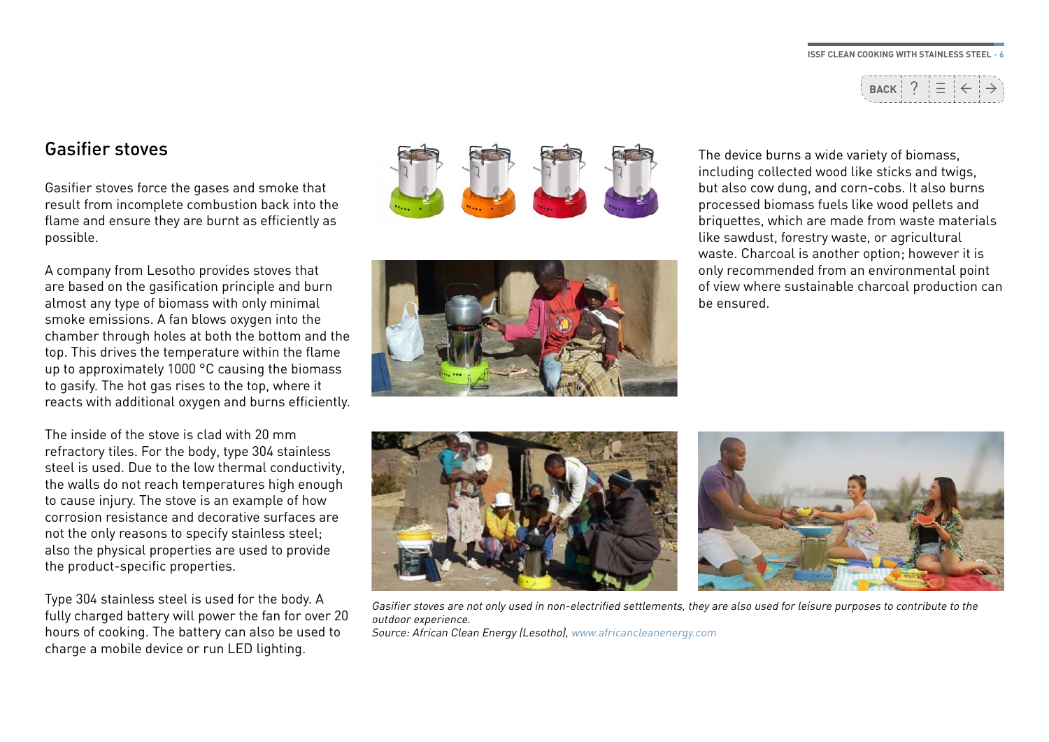

### <span id="page-5-0"></span>Gasifier stoves

Gasifier stoves force the gases and smoke that result from incomplete combustion back into the flame and ensure they are burnt as efficiently as possible.

A company from Lesotho provides stoves that are based on the gasification principle and burn almost any type of biomass with only minimal smoke emissions. A fan blows oxygen into the chamber through holes at both the bottom and the top. This drives the temperature within the flame up to approximately 1000 °C causing the biomass to gasify. The hot gas rises to the top, where it reacts with additional oxygen and burns efficiently.

The inside of the stove is clad with 20 mm refractory tiles. For the body, type 304 stainless steel is used. Due to the low thermal conductivity, the walls do not reach temperatures high enough to cause injury. The stove is an example of how corrosion resistance and decorative surfaces are not the only reasons to specify stainless steel; also the physical properties are used to provide the product-specific properties.

Type 304 stainless steel is used for the body. A fully charged battery will power the fan for over 20 hours of cooking. The battery can also be used to charge a mobile device or run LED lighting.





#### The device burns a wide variety of biomass, including collected wood like sticks and twigs, but also cow dung, and corn-cobs. It also burns processed biomass fuels like wood pellets and briquettes, which are made from waste materials like sawdust, forestry waste, or agricultural waste. Charcoal is another option; however it is only recommended from an environmental point of view where sustainable charcoal production can be ensured.





Gasifier stoves are not only used in non-electrified settlements, they are also used for leisure purposes to contribute to the outdoor experience. Source: African Clean Energy (Lesotho), [www.africancleanenergy.com](http://www.africancleanenergy.com)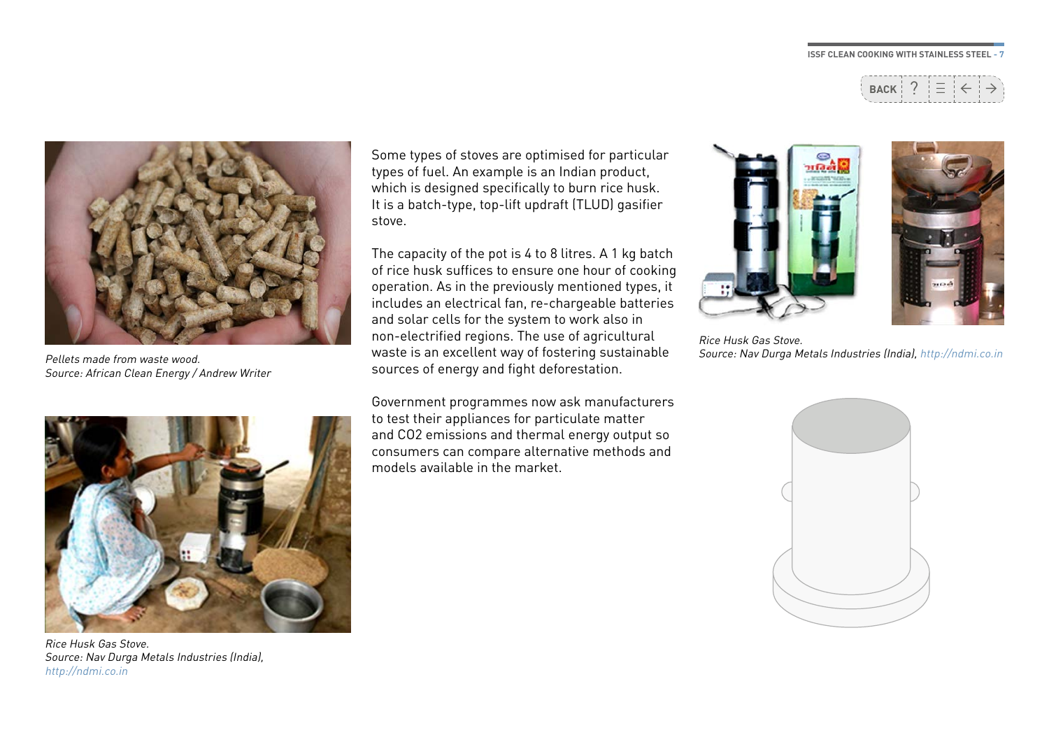



Pellets made from waste wood. Source: African Clean Energy / Andrew Writer



Rice Husk Gas Stove. Source: Nav Durga Metals Industries (India), <http://ndmi.co.in>

Some types of stoves are optimised for particular types of fuel. An example is an Indian product, which is designed specifically to burn rice husk. It is a batch-type, top-lift updraft (TLUD) gasifier stove.

The capacity of the pot is 4 to 8 litres. A 1 kg batch of rice husk suffices to ensure one hour of cooking operation. As in the previously mentioned types, it includes an electrical fan, re-chargeable batteries and solar cells for the system to work also in non-electrified regions. The use of agricultural waste is an excellent way of fostering sustainable sources of energy and fight deforestation.

Government programmes now ask manufacturers to test their appliances for particulate matter and CO2 emissions and thermal energy output so consumers can compare alternative methods and models available in the market.





Rice Husk Gas Stove. Source: Nav Durga Metals Industries (India),<http://ndmi.co.in>

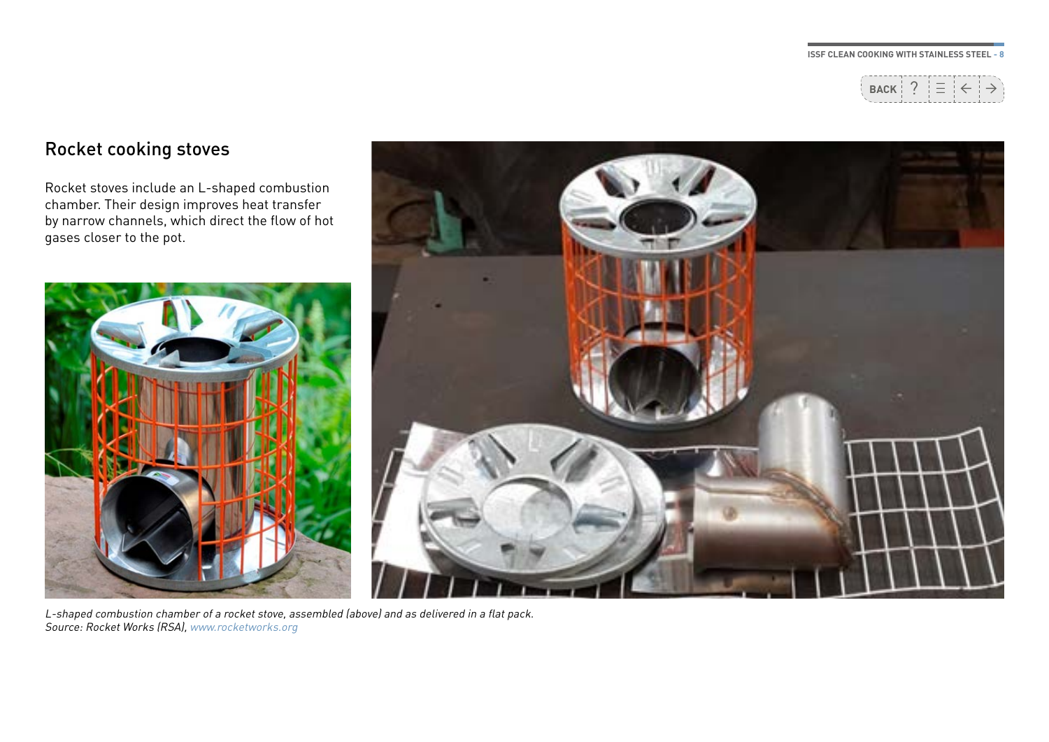

### <span id="page-7-0"></span>Rocket cooking stoves

Rocket stoves include an L-shaped combustion chamber. Their design improves heat transfer by narrow channels, which direct the flow of hot gases closer to the pot.



L-shaped combustion chamber of a rocket stove, assembled (above) and as delivered in a flat pack. Source: Rocket Works (RSA), [www.rocketworks.org](http://www.rocketworks.org)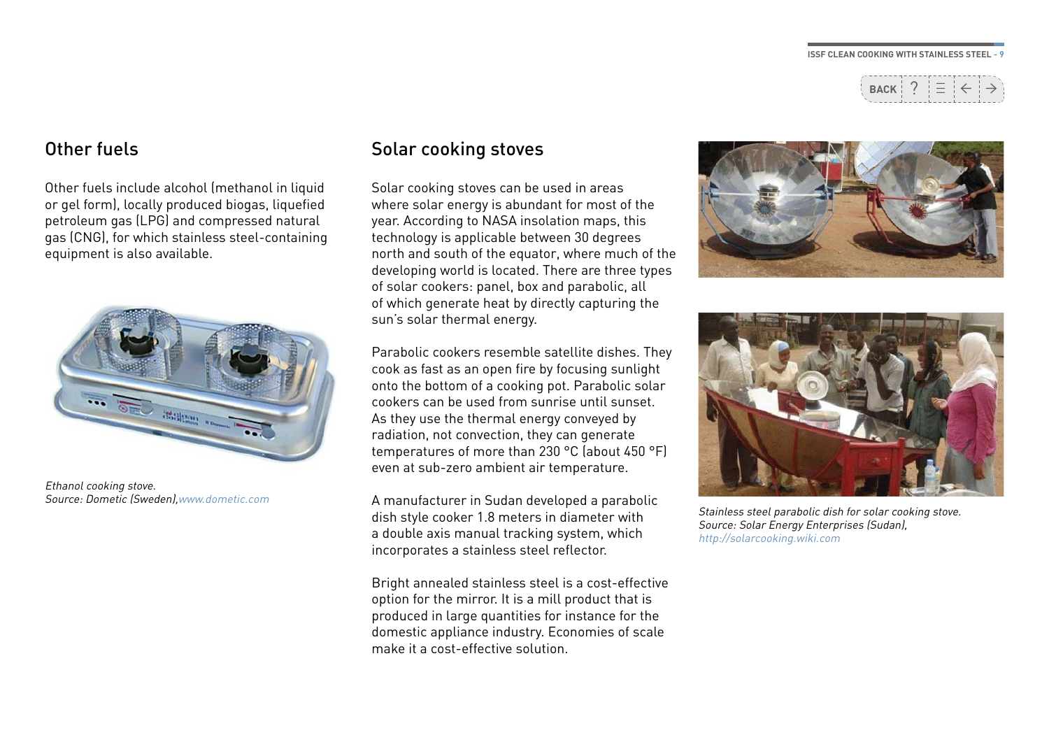

### <span id="page-8-0"></span>Other fuels

Other fuels include alcohol (methanol in liquid or gel form), locally produced biogas, liquefied petroleum gas (LPG) and compressed natural gas (CNG), for which stainless steel-containing equipment is also available.



Ethanol cooking stove. Source: Dometic (Sweden),[www.dometic.com](http://www.dometic.com)

### Solar cooking stoves

Solar cooking stoves can be used in areas where solar energy is abundant for most of the year. According to NASA insolation maps, this technology is applicable between 30 degrees north and south of the equator, where much of the developing world is located. There are three types of solar cookers: panel, box and parabolic, all of which generate heat by directly capturing the sun's solar thermal energy.

Parabolic cookers resemble satellite dishes. They cook as fast as an open fire by focusing sunlight onto the bottom of a cooking pot. Parabolic solar cookers can be used from sunrise until sunset. As they use the thermal energy conveyed by radiation, not convection, they can generate temperatures of more than 230 °C (about 450 °F) even at sub-zero ambient air temperature.

A manufacturer in Sudan developed a parabolic dish style cooker 1.8 meters in diameter with a double axis manual tracking system, which incorporates a stainless steel reflector.

Bright annealed stainless steel is a cost-effective option for the mirror. It is a mill product that is produced in large quantities for instance for the domestic appliance industry. Economies of scale make it a cost-effective solution.





Stainless steel parabolic dish for solar cooking stove. Source: Solar Energy Enterprises (Sudan), <http://solarcooking.wiki.com>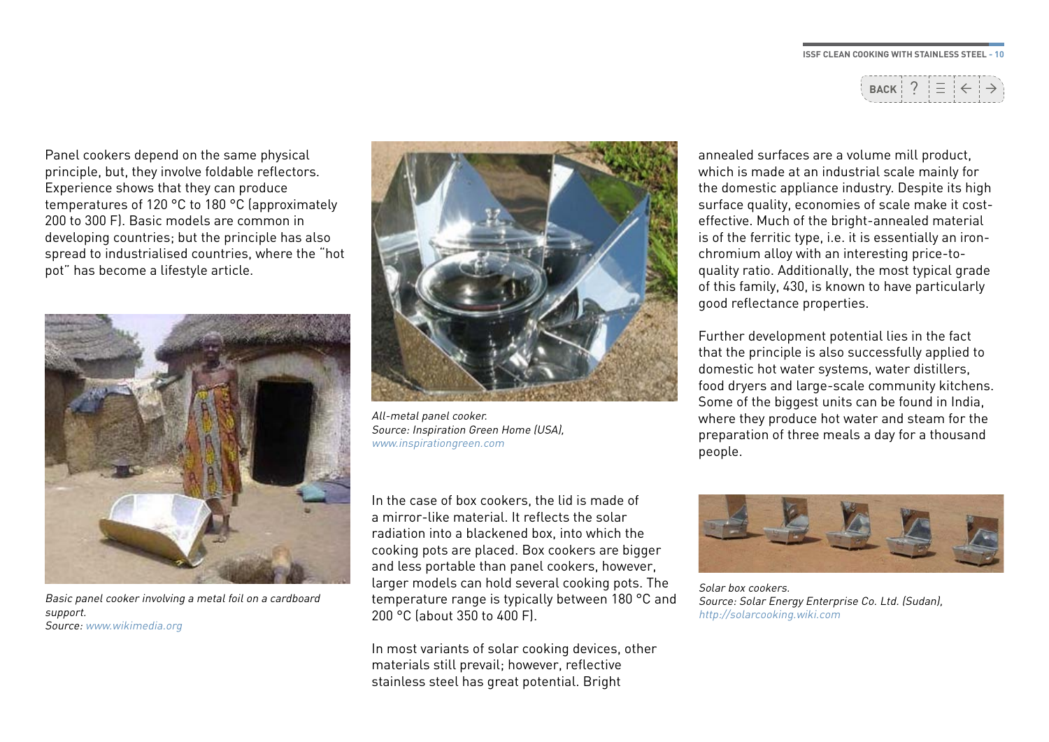<sup>←</sup> <sup>→</sup> \_\_ **BACK** ? \_

Panel cookers depend on the same physical principle, but, they involve foldable reflectors. Experience shows that they can produce temperatures of 120 °C to 180 °C (approximately 200 to 300 F). Basic models are common in developing countries; but the principle has also spread to industrialised countries, where the "hot pot" has become a lifestyle article.



Basic panel cooker involving a metal foil on a cardboard support. Source: [www.wikimedia.org](http://www.wikimedia.org)



All-metal panel cooker. Source: Inspiration Green Home (USA), [www.inspirationgreen.com](http://www.inspirationgreen.com)

In the case of box cookers, the lid is made of a mirror-like material. It reflects the solar radiation into a blackened box, into which the cooking pots are placed. Box cookers are bigger and less portable than panel cookers, however, larger models can hold several cooking pots. The temperature range is typically between 180 °C and 200 °C (about 350 to 400 F).

In most variants of solar cooking devices, other materials still prevail; however, reflective stainless steel has great potential. Bright

annealed surfaces are a volume mill product, which is made at an industrial scale mainly for the domestic appliance industry. Despite its high surface quality, economies of scale make it costeffective. Much of the bright-annealed material is of the ferritic type, i.e. it is essentially an ironchromium alloy with an interesting price-toquality ratio. Additionally, the most typical grade of this family, 430, is known to have particularly good reflectance properties.

Further development potential lies in the fact that the principle is also successfully applied to domestic hot water systems, water distillers, food dryers and large-scale community kitchens. Some of the biggest units can be found in India. where they produce hot water and steam for the preparation of three meals a day for a thousand people.



Solar box cookers. Source: Solar Energy Enterprise Co. Ltd. (Sudan), <http://solarcooking.wiki.com>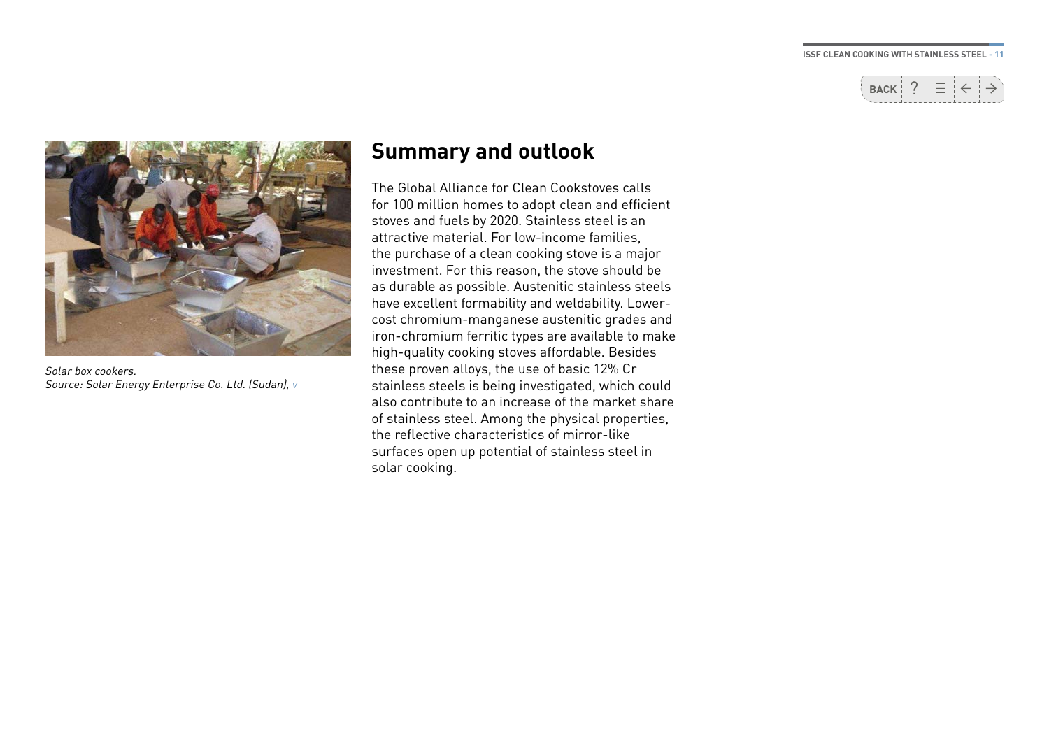

<span id="page-10-0"></span>

Solar box cookers. Source: Solar Energy Enterprise Co. Ltd. (Sudan), v

### **Summary and outlook**

The Global Alliance for Clean Cookstoves calls for 100 million homes to adopt clean and efficient stoves and fuels by 2020. Stainless steel is an attractive material. For low-income families, the purchase of a clean cooking stove is a major investment. For this reason, the stove should be as durable as possible. Austenitic stainless steels have excellent formability and weldability. Lowercost chromium-manganese austenitic grades and iron-chromium ferritic types are available to make high-quality cooking stoves affordable. Besides these proven alloys, the use of basic 12% Cr stainless steels is being investigated, which could also contribute to an increase of the market share of stainless steel. Among the physical properties, the reflective characteristics of mirror-like surfaces open up potential of stainless steel in solar cooking.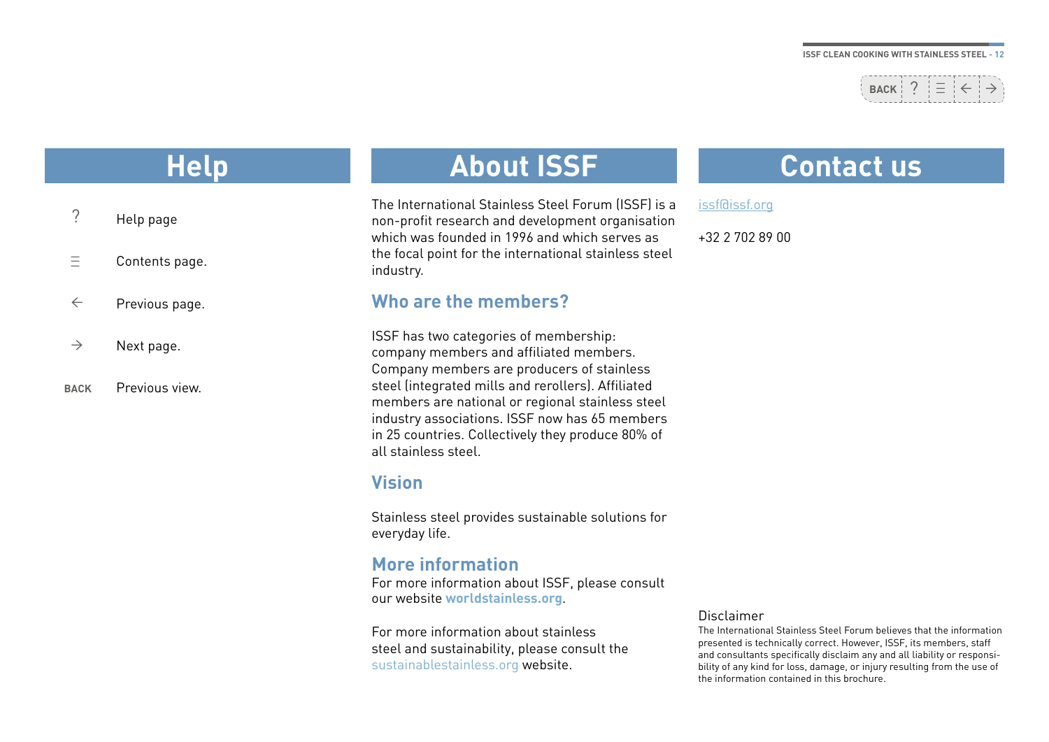## $\texttt{Back}$  ?  $\equiv$

## **Help**

| Help page |
|-----------|
|           |

- Contents page.  $\equiv$
- Previous page. ←
- Next page.  $\rightarrow$
- Previous view. **BACK**

## **About ISSF**

The International Stainless Steel Forum (ISSF) is a non-profit research and development organisation which was founded in 1996 and which serves as the focal point for the international stainless steel industry.

### **Who are the members?**

ISSF has two categories of membership: company members and affiliated members. Company members are producers of stainless steel (integrated mills and rerollers). Affiliated members are national or regional stainless steel industry associations. ISSF now has 65 members in 25 countries. Collectively they produce 80% of all stainless steel.

### **Vision**

Stainless steel provides sustainable solutions for everyday life.

### **More information**

For more information about ISSF, please consult our website **[worldstainless.org](http://www.worldstainless.org)**.

For more information about stainless steel and sustainability, please consult the [sustainablestainless.org](http://www.sustainablestainless.org) website.

## **Contact us**

issf@issf.org

+32 2 702 89 00

#### Disclaimer

The International Stainless Steel Forum believes that the information presented is technically correct. However, ISSF, its members, staff and consultants specifically disclaim any and all liability or responsibility of any kind for loss, damage, or injury resulting from the use of the information contained in this brochure.